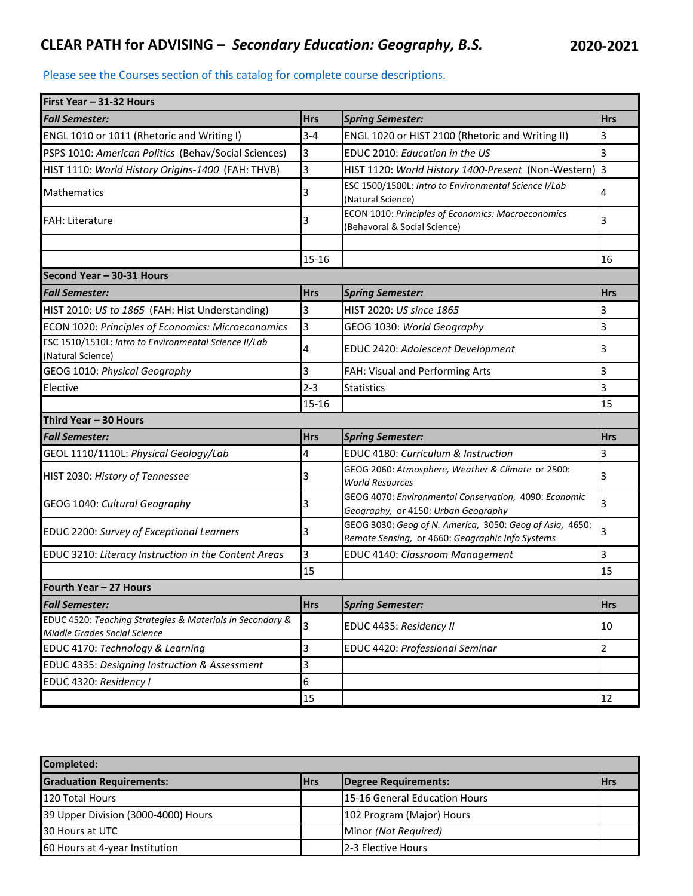## **CLEAR PATH for ADVISING –** *Secondary Education: Geography, B.S.* **2020-2021**

## [Please see the Courses section of this catalog for co](http://catalog.utc.edu/)mplete course descriptions.

| First Year - 31-32 Hours                                                                  |            |                                                                                                              |            |
|-------------------------------------------------------------------------------------------|------------|--------------------------------------------------------------------------------------------------------------|------------|
| <b>Fall Semester:</b>                                                                     | <b>Hrs</b> | <b>Spring Semester:</b>                                                                                      | <b>Hrs</b> |
| ENGL 1010 or 1011 (Rhetoric and Writing I)                                                | $3 - 4$    | ENGL 1020 or HIST 2100 (Rhetoric and Writing II)                                                             | 3          |
| PSPS 1010: American Politics (Behav/Social Sciences)                                      | 3          | EDUC 2010: Education in the US                                                                               | 3          |
| HIST 1110: World History Origins-1400 (FAH: THVB)                                         | 3          | HIST 1120: World History 1400-Present (Non-Western) 3                                                        |            |
| <b>Mathematics</b>                                                                        | 3          | ESC 1500/1500L: Intro to Environmental Science I/Lab<br>(Natural Science)                                    | 4          |
| <b>FAH</b> : Literature                                                                   | 3          | <b>ECON</b> 1010: Principles of Economics: Macroeconomics<br>(Behavoral & Social Science)                    | 3          |
|                                                                                           | $15 - 16$  |                                                                                                              | 16         |
| Second Year - 30-31 Hours                                                                 |            |                                                                                                              |            |
| <b>Fall Semester:</b>                                                                     | <b>Hrs</b> | <b>Spring Semester:</b>                                                                                      | <b>Hrs</b> |
| HIST 2010: US to 1865 (FAH: Hist Understanding)                                           | 3          | HIST 2020: US since 1865                                                                                     | 3          |
| ECON 1020: Principles of Economics: Microeconomics                                        | 3          | GEOG 1030: World Geography                                                                                   | 3          |
| ESC 1510/1510L: Intro to Environmental Science II/Lab<br>(Natural Science)                | 4          | <b>EDUC 2420: Adolescent Development</b>                                                                     | 3          |
| GEOG 1010: Physical Geography                                                             | 3          | FAH: Visual and Performing Arts                                                                              | 3          |
| Elective                                                                                  | $2 - 3$    | <b>Statistics</b>                                                                                            | 3          |
|                                                                                           | $15 - 16$  |                                                                                                              | 15         |
| Third Year - 30 Hours                                                                     |            |                                                                                                              |            |
| <b>Fall Semester:</b>                                                                     | <b>Hrs</b> | <b>Spring Semester:</b>                                                                                      | <b>Hrs</b> |
| GEOL 1110/1110L: Physical Geology/Lab                                                     | 4          | EDUC 4180: Curriculum & Instruction                                                                          | 3          |
| HIST 2030: History of Tennessee                                                           | 3          | GEOG 2060: Atmosphere, Weather & Climate or 2500:<br><b>World Resources</b>                                  | 3          |
| GEOG 1040: Cultural Geography                                                             | 3          | GEOG 4070: Environmental Conservation, 4090: Economic<br>Geography, or 4150: Urban Geography                 | 3          |
| EDUC 2200: Survey of Exceptional Learners                                                 | 3          | GEOG 3030: Geog of N. America, 3050: Geog of Asia, 4650:<br>Remote Sensing, or 4660: Geographic Info Systems | 3          |
| EDUC 3210: Literacy Instruction in the Content Areas                                      | 3          | <b>EDUC 4140: Classroom Management</b>                                                                       | 3          |
|                                                                                           | 15         |                                                                                                              | 15         |
| Fourth Year - 27 Hours                                                                    |            |                                                                                                              |            |
| <b>Fall Semester:</b>                                                                     | <b>Hrs</b> | <b>Spring Semester:</b>                                                                                      | <b>Hrs</b> |
| EDUC 4520: Teaching Strategies & Materials in Secondary &<br>Middle Grades Social Science | 3          | EDUC 4435: Residency II                                                                                      | 10         |
| EDUC 4170: Technology & Learning                                                          | 3          | EDUC 4420: Professional Seminar                                                                              | 2          |
| EDUC 4335: Designing Instruction & Assessment                                             | 3          |                                                                                                              |            |
| EDUC 4320: Residency I                                                                    | 6          |                                                                                                              |            |
|                                                                                           | 15         |                                                                                                              | 12         |

| <b>Completed:</b>                   |            |                               |             |  |  |  |
|-------------------------------------|------------|-------------------------------|-------------|--|--|--|
| <b>Graduation Requirements:</b>     | <b>Hrs</b> | Degree Requirements:          | <b>IHrs</b> |  |  |  |
| 120 Total Hours                     |            | 15-16 General Education Hours |             |  |  |  |
| 39 Upper Division (3000-4000) Hours |            | 102 Program (Major) Hours     |             |  |  |  |
| 30 Hours at UTC                     |            | Minor (Not Required)          |             |  |  |  |
| 60 Hours at 4-year Institution      |            | <b>2-3 Elective Hours</b>     |             |  |  |  |